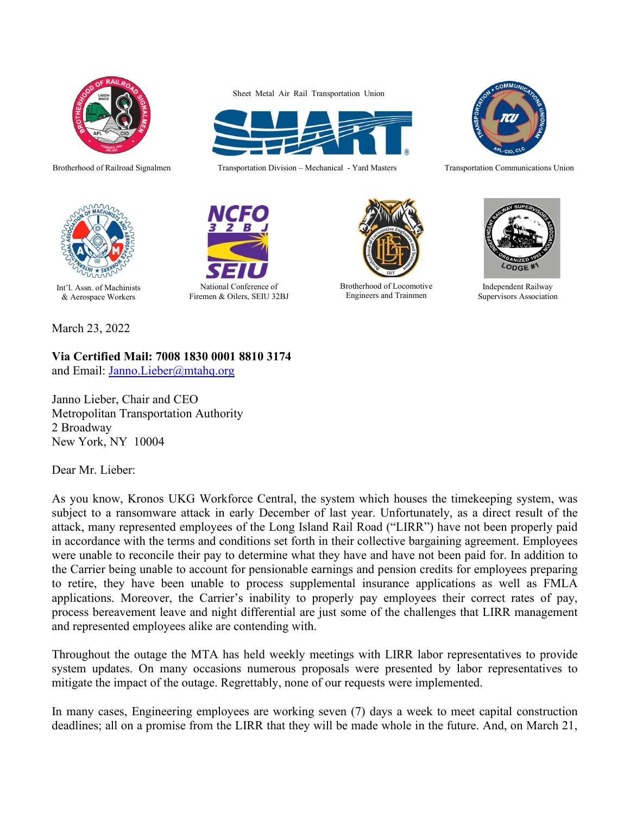

Brotherhood of Railroad Signalmen

Sheet Metal Air Rail Transportation Union



Transportation Division – Mechanical - Yard Masters



Transportation Communications Union



Int'l. Assn. of Machinists & Aerospace Workers

March 23, 2022

**Via Certified Mail: 7008 1830 0001 8810 3174**

and Email: [Janno.Lieber@mtahq.org](mailto:Janno.Lieber@mtahq.org)

Janno Lieber, Chair and CEO Metropolitan Transportation Authority 2 Broadway New York, NY 10004

Dear Mr. Lieber:

As you know, Kronos UKG Workforce Central, the system which houses the timekeeping system, was subject to a ransomware attack in early December of last year. Unfortunately, as a direct result of the attack, many represented employees of the Long Island Rail Road ("LIRR") have not been properly paid in accordance with the terms and conditions set forth in their collective bargaining agreement. Employees were unable to reconcile their pay to determine what they have and have not been paid for. In addition to the Carrier being unable to account for pensionable earnings and pension credits for employees preparing to retire, they have been unable to process supplemental insurance applications as well as FMLA applications. Moreover, the Carrier's inability to properly pay employees their correct rates of pay, process bereavement leave and night differential are just some of the challenges that LIRR management and represented employees alike are contending with.

Throughout the outage the MTA has held weekly meetings with LIRR labor representatives to provide system updates. On many occasions numerous proposals were presented by labor representatives to mitigate the impact of the outage. Regrettably, none of our requests were implemented.

In many cases, Engineering employees are working seven (7) days a week to meet capital construction deadlines; all on a promise from the LIRR that they will be made whole in the future. And, on March 21,





Brotherhood of Locomotive Engineers and Trainmen



Independent Railway Supervisors Association